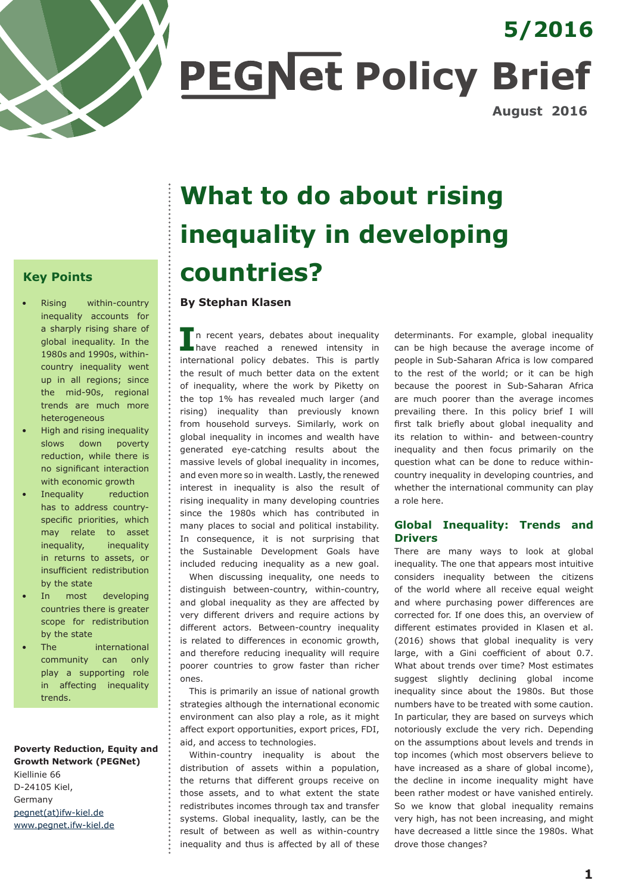

# **PEGNet Policy Brief 5/2016 August 2016**

**Key Points**

- Rising within-country inequality accounts for a sharply rising share of global inequality. In the 1980s and 1990s, withincountry inequality went up in all regions; since the mid-90s, regional trends are much more heterogeneous
- High and rising inequality slows down poverty reduction, while there is no significant interaction with economic growth
- Inequality reduction has to address countryspecific priorities, which may relate to asset inequality, inequality in returns to assets, or insufficient redistribution by the state
- In most developing countries there is greater scope for redistribution by the state
- The international community can only play a supporting role in affecting inequality trends.

**Poverty Reduction, Equity and Growth Network (PEGNet)** Kiellinie 66 D-24105 Kiel, Germany pegnet(at)ifw-kiel.de www.pegnet.ifw-kiel.de

# **What to do about rising inequality in developing countries?**

# **By Stephan Klasen**

In recent years, debates about inequality have reached a renewed intensity in international policy debates. This is partly the result of much better data on the extent of inequality, where the work by Piketty on the top 1% has revealed much larger (and rising) inequality than previously known from household surveys. Similarly, work on global inequality in incomes and wealth have generated eye-catching results about the massive levels of global inequality in incomes. and even more so in wealth. Lastly, the renewed interest in inequality is also the result of rising inequality in many developing countries since the 1980s which has contributed in many places to social and political instability. In consequence, it is not surprising that the Sustainable Development Goals have included reducing inequality as a new goal.

When discussing inequality, one needs to distinguish between-country, within-country, and global inequality as they are affected by very different drivers and require actions by different actors. Between-country inequality is related to differences in economic growth, and therefore reducing inequality will require poorer countries to grow faster than richer ones.

This is primarily an issue of national growth strategies although the international economic environment can also play a role, as it might affect export opportunities, export prices, FDI, aid, and access to technologies.

Within-country inequality is about the distribution of assets within a population, the returns that different groups receive on those assets, and to what extent the state redistributes incomes through tax and transfer systems. Global inequality, lastly, can be the result of between as well as within-country inequality and thus is affected by all of these determinants. For example, global inequality can be high because the average income of people in Sub-Saharan Africa is low compared to the rest of the world; or it can be high because the poorest in Sub-Saharan Africa are much poorer than the average incomes prevailing there. In this policy brief I will first talk briefly about global inequality and its relation to within- and between-country inequality and then focus primarily on the question what can be done to reduce withincountry inequality in developing countries, and whether the international community can play a role here.

# **Global Inequality: Trends and Drivers**

There are many ways to look at global inequality. The one that appears most intuitive considers inequality between the citizens of the world where all receive equal weight and where purchasing power differences are corrected for. If one does this, an overview of different estimates provided in Klasen et al. (2016) shows that global inequality is very large, with a Gini coefficient of about 0.7. What about trends over time? Most estimates suggest slightly declining global income inequality since about the 1980s. But those numbers have to be treated with some caution. In particular, they are based on surveys which notoriously exclude the very rich. Depending on the assumptions about levels and trends in top incomes (which most observers believe to have increased as a share of global income), the decline in income inequality might have been rather modest or have vanished entirely. So we know that global inequality remains very high, has not been increasing, and might have decreased a little since the 1980s. What drove those changes?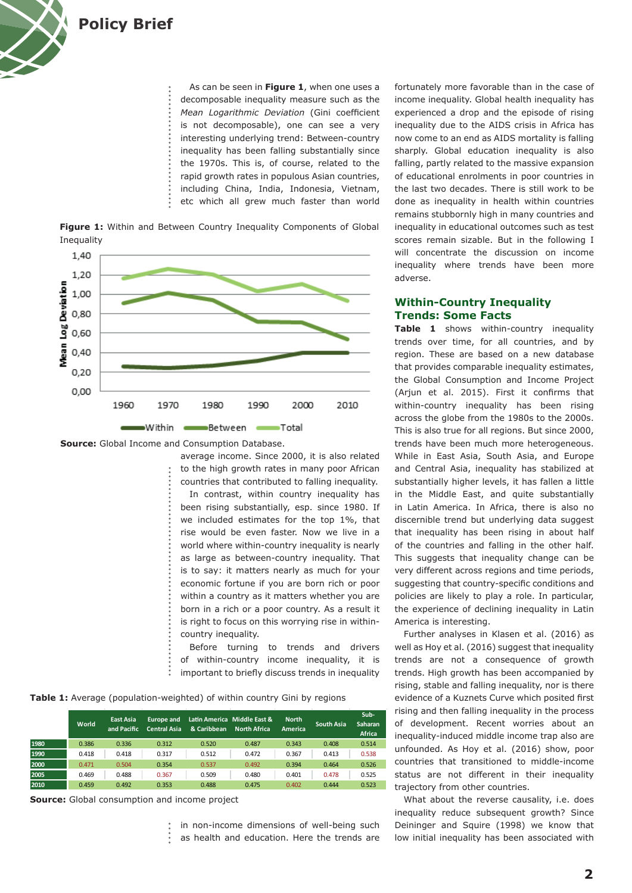

As can be seen in **Figure 1**, when one uses a decomposable inequality measure such as the *Mean Logarithmic Deviation* (Gini coefficient is not decomposable), one can see a very interesting underlying trend: Between-country inequality has been falling substantially since the 1970s. This is, of course, related to the rapid growth rates in populous Asian countries, including China, India, Indonesia, Vietnam, etc which all grew much faster than world

**Figure 1:** Within and Between Country Inequality Components of Global Inequality



**Source:** Global Income and Consumption Database.

average income. Since 2000, it is also related to the high growth rates in many poor African countries that contributed to falling inequality. In contrast, within country inequality has been rising substantially, esp. since 1980. If we included estimates for the top 1%, that rise would be even faster. Now we live in a world where within-country inequality is nearly as large as between-country inequality. That is to say: it matters nearly as much for your economic fortune if you are born rich or poor within a country as it matters whether you are born in a rich or a poor country. As a result it is right to focus on this worrying rise in withincountry inequality.

Before turning to trends and drivers of within-country income inequality, it is important to briefly discuss trends in inequality

**Table 1:** Average (population-weighted) of within country Gini by regions

|      | World | East Asia<br>and Pacific | Europe and<br><b>Central Asia</b> | & Caribbean | Latin America Middle East &<br><b>North Africa</b> | <b>North</b><br>America | <b>South Asia</b> | Sub-<br>Saharan<br><b>Africa</b> |
|------|-------|--------------------------|-----------------------------------|-------------|----------------------------------------------------|-------------------------|-------------------|----------------------------------|
| 1980 | 0.386 | 0.336                    | 0.312                             | 0.520       | 0.487                                              | 0.343                   | 0.408             | 0.514                            |
| 1990 | 0.418 | 0.418                    | 0.317                             | 0.512       | 0.472                                              | 0.367                   | 0.413             | 0.538                            |
| 2000 | 0.471 | 0.504                    | 0.354                             | 0.537       | 0.492                                              | 0.394                   | 0.464             | 0.526                            |
| 2005 | 0.469 | 0.488                    | 0.367                             | 0.509       | 0.480                                              | 0.401                   | 0.478             | 0.525                            |
| 2010 | 0.459 | 0.492                    | 0.353                             | 0.488       | 0.475                                              | 0.402                   | 0.444             | 0.523                            |

**Source:** Global consumption and income project

in non-income dimensions of well-being such as health and education. Here the trends are fortunately more favorable than in the case of income inequality. Global health inequality has experienced a drop and the episode of rising inequality due to the AIDS crisis in Africa has now come to an end as AIDS mortality is falling sharply. Global education inequality is also falling, partly related to the massive expansion of educational enrolments in poor countries in the last two decades. There is still work to be done as inequality in health within countries remains stubbornly high in many countries and inequality in educational outcomes such as test scores remain sizable. But in the following I will concentrate the discussion on income inequality where trends have been more adverse.

#### **Within-Country Inequality Trends: Some Facts**

**Table 1** shows within-country inequality trends over time, for all countries, and by region. These are based on a new database that provides comparable inequality estimates, the Global Consumption and Income Project (Arjun et al. 2015). First it confirms that within-country inequality has been rising across the globe from the 1980s to the 2000s. This is also true for all regions. But since 2000, trends have been much more heterogeneous. While in East Asia, South Asia, and Europe and Central Asia, inequality has stabilized at substantially higher levels, it has fallen a little in the Middle East, and quite substantially in Latin America. In Africa, there is also no discernible trend but underlying data suggest that inequality has been rising in about half of the countries and falling in the other half. This suggests that inequality change can be very different across regions and time periods, suggesting that country-specific conditions and policies are likely to play a role. In particular, the experience of declining inequality in Latin America is interesting.

Further analyses in Klasen et al. (2016) as well as Hoy et al. (2016) suggest that inequality trends are not a consequence of growth trends. High growth has been accompanied by rising, stable and falling inequality, nor is there evidence of a Kuznets Curve which posited first rising and then falling inequality in the process of development. Recent worries about an inequality-induced middle income trap also are unfounded. As Hoy et al. (2016) show, poor countries that transitioned to middle-income status are not different in their inequality trajectory from other countries.

What about the reverse causality, i.e. does inequality reduce subsequent growth? Since Deininger and Squire (1998) we know that low initial inequality has been associated with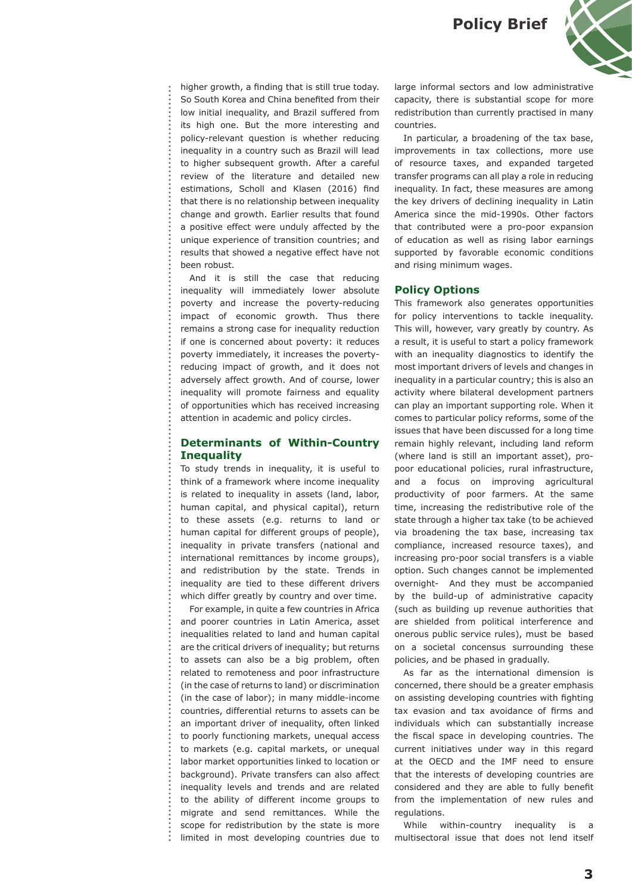

higher growth, a finding that is still true today. So South Korea and China benefited from their low initial inequality, and Brazil suffered from its high one. But the more interesting and policy-relevant question is whether reducing inequality in a country such as Brazil will lead to higher subsequent growth. After a careful review of the literature and detailed new estimations, Scholl and Klasen (2016) find that there is no relationship between inequality change and growth. Earlier results that found a positive effect were unduly affected by the unique experience of transition countries; and results that showed a negative effect have not been robust.

And it is still the case that reducing inequality will immediately lower absolute poverty and increase the poverty-reducing impact of economic growth. Thus there remains a strong case for inequality reduction if one is concerned about poverty: it reduces poverty immediately, it increases the povertyreducing impact of growth, and it does not adversely affect growth. And of course, lower inequality will promote fairness and equality of opportunities which has received increasing attention in academic and policy circles.

#### **Determinants of Within-Country Inequality**

To study trends in inequality, it is useful to think of a framework where income inequality is related to inequality in assets (land, labor, human capital, and physical capital), return to these assets (e.g. returns to land or human capital for different groups of people), inequality in private transfers (national and international remittances by income groups), and redistribution by the state. Trends in inequality are tied to these different drivers which differ greatly by country and over time.

For example, in quite a few countries in Africa and poorer countries in Latin America, asset inequalities related to land and human capital are the critical drivers of inequality; but returns to assets can also be a big problem, often related to remoteness and poor infrastructure (in the case of returns to land) or discrimination (in the case of labor); in many middle-income countries, differential returns to assets can be an important driver of inequality, often linked to poorly functioning markets, unequal access to markets (e.g. capital markets, or unequal labor market opportunities linked to location or background). Private transfers can also affect inequality levels and trends and are related to the ability of different income groups to migrate and send remittances. While the scope for redistribution by the state is more limited in most developing countries due to large informal sectors and low administrative capacity, there is substantial scope for more redistribution than currently practised in many countries.

In particular, a broadening of the tax base, improvements in tax collections, more use of resource taxes, and expanded targeted transfer programs can all play a role in reducing inequality. In fact, these measures are among the key drivers of declining inequality in Latin America since the mid-1990s. Other factors that contributed were a pro-poor expansion of education as well as rising labor earnings supported by favorable economic conditions and rising minimum wages.

#### **Policy Options**

This framework also generates opportunities for policy interventions to tackle inequality. This will, however, vary greatly by country. As a result, it is useful to start a policy framework with an inequality diagnostics to identify the most important drivers of levels and changes in inequality in a particular country; this is also an activity where bilateral development partners can play an important supporting role. When it comes to particular policy reforms, some of the issues that have been discussed for a long time remain highly relevant, including land reform (where land is still an important asset), propoor educational policies, rural infrastructure, and a focus on improving agricultural productivity of poor farmers. At the same time, increasing the redistributive role of the state through a higher tax take (to be achieved via broadening the tax base, increasing tax compliance, increased resource taxes), and increasing pro-poor social transfers is a viable option. Such changes cannot be implemented overnight- And they must be accompanied by the build-up of administrative capacity (such as building up revenue authorities that are shielded from political interference and onerous public service rules), must be based on a societal concensus surrounding these policies, and be phased in gradually.

As far as the international dimension is concerned, there should be a greater emphasis on assisting developing countries with fighting tax evasion and tax avoidance of firms and individuals which can substantially increase the fiscal space in developing countries. The current initiatives under way in this regard at the OECD and the IMF need to ensure that the interests of developing countries are considered and they are able to fully benefit from the implementation of new rules and regulations.

While within-country inequality is a multisectoral issue that does not lend itself